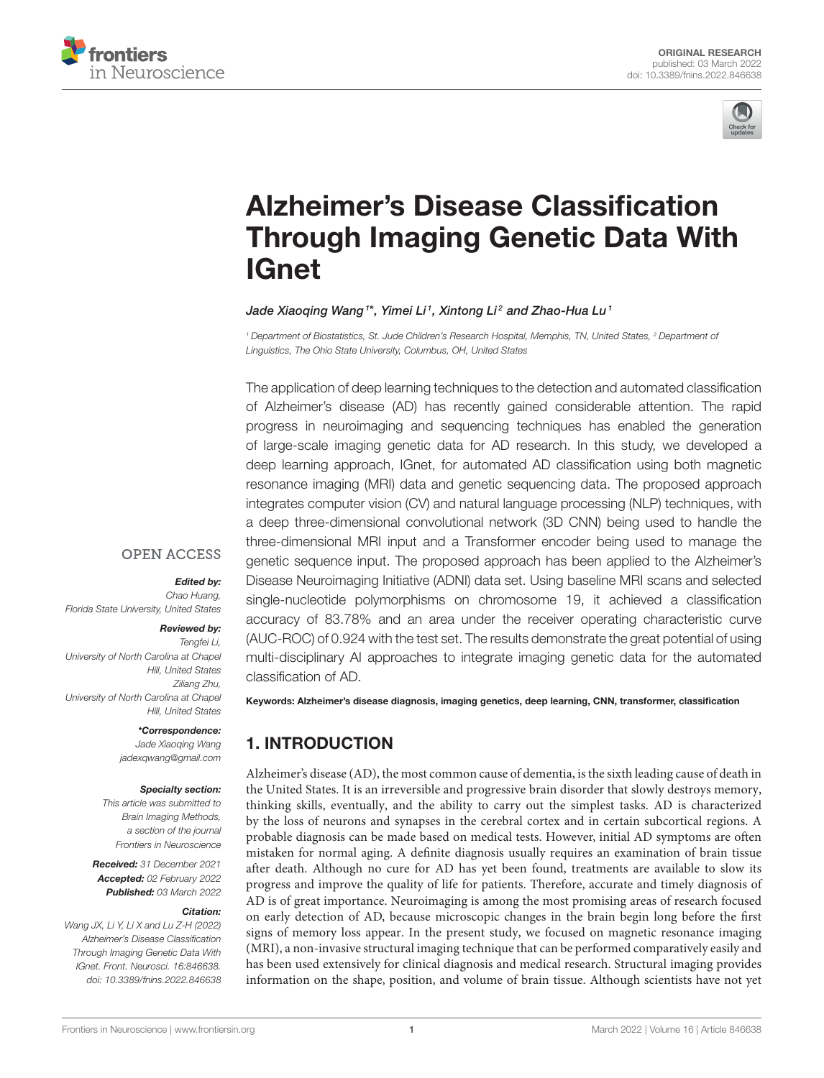



# Alzheimer's Disease Classification [Through Imaging Genetic Data With](https://www.frontiersin.org/articles/10.3389/fnins.2022.846638/full) IGnet

#### Jade Xiaoqing Wang<sup>1\*</sup>, Yimei Li<sup>1</sup>, Xintong Li<sup>2</sup> and Zhao-Hua Lu<sup>1</sup>

*<sup>1</sup> Department of Biostatistics, St. Jude Children's Research Hospital, Memphis, TN, United States, <sup>2</sup> Department of Linguistics, The Ohio State University, Columbus, OH, United States*

The application of deep learning techniques to the detection and automated classification of Alzheimer's disease (AD) has recently gained considerable attention. The rapid progress in neuroimaging and sequencing techniques has enabled the generation of large-scale imaging genetic data for AD research. In this study, we developed a deep learning approach, IGnet, for automated AD classification using both magnetic resonance imaging (MRI) data and genetic sequencing data. The proposed approach integrates computer vision (CV) and natural language processing (NLP) techniques, with a deep three-dimensional convolutional network (3D CNN) being used to handle the three-dimensional MRI input and a Transformer encoder being used to manage the genetic sequence input. The proposed approach has been applied to the Alzheimer's Disease Neuroimaging Initiative (ADNI) data set. Using baseline MRI scans and selected single-nucleotide polymorphisms on chromosome 19, it achieved a classification accuracy of 83.78% and an area under the receiver operating characteristic curve (AUC-ROC) of 0.924 with the test set. The results demonstrate the great potential of using multi-disciplinary AI approaches to integrate imaging genetic data for the automated classification of AD.

## **OPEN ACCESS**

## Edited by:

*Chao Huang, Florida State University, United States*

#### Reviewed by:

*Tengfei Li, University of North Carolina at Chapel Hill, United States Ziliang Zhu, University of North Carolina at Chapel Hill, United States*

#### \*Correspondence:

*Jade Xiaoqing Wang [jadexqwang@gmail.com](mailto:jadexqwang@gmail.com)*

#### Specialty section:

*This article was submitted to Brain Imaging Methods, a section of the journal Frontiers in Neuroscience*

Received: *31 December 2021* Accepted: *02 February 2022* Published: *03 March 2022*

#### Citation:

*Wang JX, Li Y, Li X and Lu Z-H (2022) Alzheimer's Disease Classification Through Imaging Genetic Data With IGnet. Front. Neurosci. 16:846638. doi: [10.3389/fnins.2022.846638](https://doi.org/10.3389/fnins.2022.846638)* Keywords: Alzheimer's disease diagnosis, imaging genetics, deep learning, CNN, transformer, classification

# 1. INTRODUCTION

Alzheimer's disease (AD), the most common cause of dementia, is the sixth leading cause of death in the United States. It is an irreversible and progressive brain disorder that slowly destroys memory, thinking skills, eventually, and the ability to carry out the simplest tasks. AD is characterized by the loss of neurons and synapses in the cerebral cortex and in certain subcortical regions. A probable diagnosis can be made based on medical tests. However, initial AD symptoms are often mistaken for normal aging. A definite diagnosis usually requires an examination of brain tissue after death. Although no cure for AD has yet been found, treatments are available to slow its progress and improve the quality of life for patients. Therefore, accurate and timely diagnosis of AD is of great importance. Neuroimaging is among the most promising areas of research focused on early detection of AD, because microscopic changes in the brain begin long before the first signs of memory loss appear. In the present study, we focused on magnetic resonance imaging (MRI), a non-invasive structural imaging technique that can be performed comparatively easily and has been used extensively for clinical diagnosis and medical research. Structural imaging provides information on the shape, position, and volume of brain tissue. Although scientists have not yet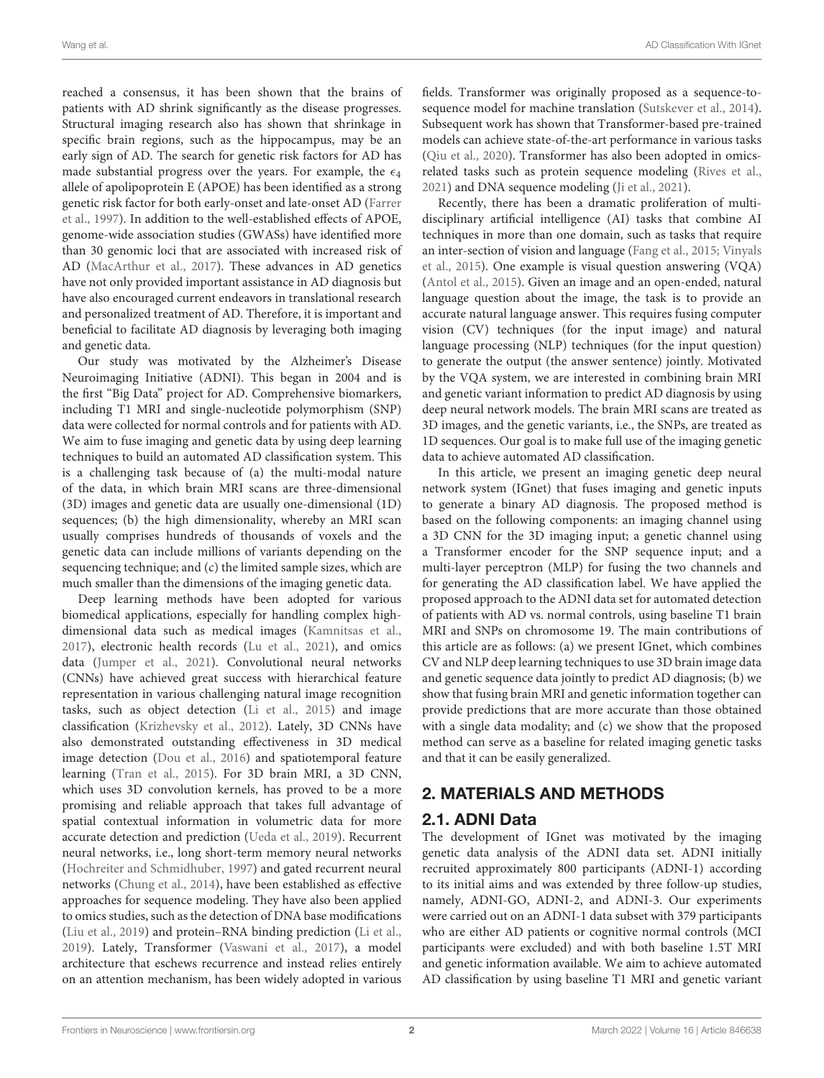reached a consensus, it has been shown that the brains of patients with AD shrink significantly as the disease progresses. Structural imaging research also has shown that shrinkage in specific brain regions, such as the hippocampus, may be an early sign of AD. The search for genetic risk factors for AD has made substantial progress over the years. For example, the  $\epsilon_4$ allele of apolipoprotein E (APOE) has been identified as a strong genetic risk factor for both early-onset and late-onset AD (Farrer et al., [1997\)](#page-6-0). In addition to the well-established effects of APOE, genome-wide association studies (GWASs) have identified more than 30 genomic loci that are associated with increased risk of AD [\(MacArthur et al., 2017\)](#page-7-0). These advances in AD genetics have not only provided important assistance in AD diagnosis but have also encouraged current endeavors in translational research and personalized treatment of AD. Therefore, it is important and beneficial to facilitate AD diagnosis by leveraging both imaging and genetic data.

Our study was motivated by the Alzheimer's Disease Neuroimaging Initiative (ADNI). This began in 2004 and is the first "Big Data" project for AD. Comprehensive biomarkers, including T1 MRI and single-nucleotide polymorphism (SNP) data were collected for normal controls and for patients with AD. We aim to fuse imaging and genetic data by using deep learning techniques to build an automated AD classification system. This is a challenging task because of (a) the multi-modal nature of the data, in which brain MRI scans are three-dimensional (3D) images and genetic data are usually one-dimensional (1D) sequences; (b) the high dimensionality, whereby an MRI scan usually comprises hundreds of thousands of voxels and the genetic data can include millions of variants depending on the sequencing technique; and (c) the limited sample sizes, which are much smaller than the dimensions of the imaging genetic data.

Deep learning methods have been adopted for various biomedical applications, especially for handling complex highdimensional data such as medical images [\(Kamnitsas et al.,](#page-7-1) [2017\)](#page-7-1), electronic health records [\(Lu et al., 2021\)](#page-7-2), and omics data [\(Jumper et al., 2021\)](#page-7-3). Convolutional neural networks (CNNs) have achieved great success with hierarchical feature representation in various challenging natural image recognition tasks, such as object detection [\(Li et al., 2015\)](#page-7-4) and image classification [\(Krizhevsky et al., 2012\)](#page-7-5). Lately, 3D CNNs have also demonstrated outstanding effectiveness in 3D medical image detection [\(Dou et al., 2016\)](#page-6-1) and spatiotemporal feature learning [\(Tran et al., 2015\)](#page-7-6). For 3D brain MRI, a 3D CNN, which uses 3D convolution kernels, has proved to be a more promising and reliable approach that takes full advantage of spatial contextual information in volumetric data for more accurate detection and prediction [\(Ueda et al., 2019\)](#page-7-7). Recurrent neural networks, i.e., long short-term memory neural networks [\(Hochreiter and Schmidhuber, 1997\)](#page-7-8) and gated recurrent neural networks [\(Chung et al., 2014\)](#page-6-2), have been established as effective approaches for sequence modeling. They have also been applied to omics studies, such as the detection of DNA base modifications [\(Liu et al., 2019\)](#page-7-9) and protein–RNA binding prediction [\(Li et al.,](#page-7-10) [2019\)](#page-7-10). Lately, Transformer [\(Vaswani et al., 2017\)](#page-7-11), a model architecture that eschews recurrence and instead relies entirely on an attention mechanism, has been widely adopted in various fields. Transformer was originally proposed as a sequence-tosequence model for machine translation [\(Sutskever et al., 2014\)](#page-7-12). Subsequent work has shown that Transformer-based pre-trained models can achieve state-of-the-art performance in various tasks [\(Qiu et al., 2020\)](#page-7-13). Transformer has also been adopted in omicsrelated tasks such as protein sequence modeling [\(Rives et al.,](#page-7-14) [2021\)](#page-7-14) and DNA sequence modeling [\(Ji et al., 2021\)](#page-7-15).

Recently, there has been a dramatic proliferation of multidisciplinary artificial intelligence (AI) tasks that combine AI techniques in more than one domain, such as tasks that require an inter-section of vision and language [\(Fang et al., 2015;](#page-6-3) Vinyals et al., [2015\)](#page-7-16). One example is visual question answering (VQA) [\(Antol et al., 2015\)](#page-6-4). Given an image and an open-ended, natural language question about the image, the task is to provide an accurate natural language answer. This requires fusing computer vision (CV) techniques (for the input image) and natural language processing (NLP) techniques (for the input question) to generate the output (the answer sentence) jointly. Motivated by the VQA system, we are interested in combining brain MRI and genetic variant information to predict AD diagnosis by using deep neural network models. The brain MRI scans are treated as 3D images, and the genetic variants, i.e., the SNPs, are treated as 1D sequences. Our goal is to make full use of the imaging genetic data to achieve automated AD classification.

In this article, we present an imaging genetic deep neural network system (IGnet) that fuses imaging and genetic inputs to generate a binary AD diagnosis. The proposed method is based on the following components: an imaging channel using a 3D CNN for the 3D imaging input; a genetic channel using a Transformer encoder for the SNP sequence input; and a multi-layer perceptron (MLP) for fusing the two channels and for generating the AD classification label. We have applied the proposed approach to the ADNI data set for automated detection of patients with AD vs. normal controls, using baseline T1 brain MRI and SNPs on chromosome 19. The main contributions of this article are as follows: (a) we present IGnet, which combines CV and NLP deep learning techniques to use 3D brain image data and genetic sequence data jointly to predict AD diagnosis; (b) we show that fusing brain MRI and genetic information together can provide predictions that are more accurate than those obtained with a single data modality; and (c) we show that the proposed method can serve as a baseline for related imaging genetic tasks and that it can be easily generalized.

# 2. MATERIALS AND METHODS

# 2.1. ADNI Data

The development of IGnet was motivated by the imaging genetic data analysis of the ADNI data set. ADNI initially recruited approximately 800 participants (ADNI-1) according to its initial aims and was extended by three follow-up studies, namely, ADNI-GO, ADNI-2, and ADNI-3. Our experiments were carried out on an ADNI-1 data subset with 379 participants who are either AD patients or cognitive normal controls (MCI participants were excluded) and with both baseline 1.5T MRI and genetic information available. We aim to achieve automated AD classification by using baseline T1 MRI and genetic variant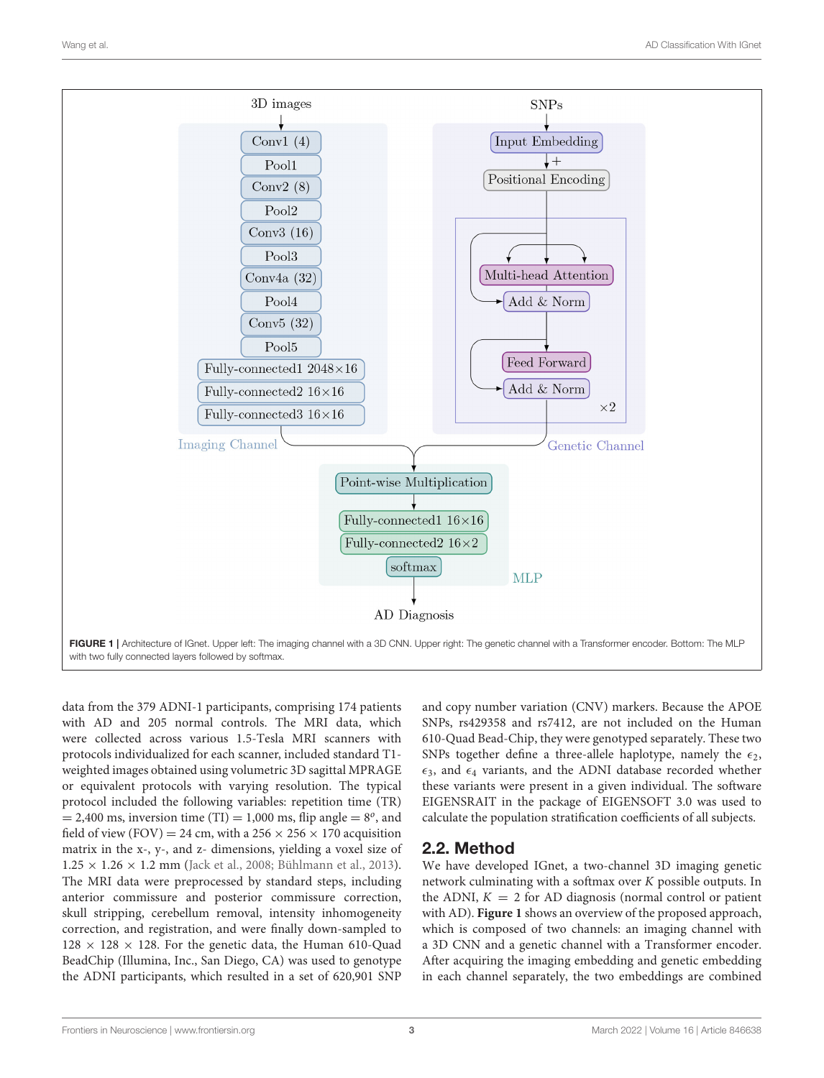

<span id="page-2-0"></span>data from the 379 ADNI-1 participants, comprising 174 patients with AD and 205 normal controls. The MRI data, which were collected across various 1.5-Tesla MRI scanners with protocols individualized for each scanner, included standard T1 weighted images obtained using volumetric 3D sagittal MPRAGE or equivalent protocols with varying resolution. The typical protocol included the following variables: repetition time (TR)  $= 2,400 \text{ ms}$ , inversion time (TI)  $= 1,000 \text{ ms}$ , flip angle  $= 8^\circ$ , and field of view (FOV) = 24 cm, with a 256  $\times$  256  $\times$  170 acquisition matrix in the x-, y-, and z- dimensions, yielding a voxel size of  $1.25 \times 1.26 \times 1.2$  mm [\(Jack et al., 2008;](#page-7-17) [Bühlmann et al., 2013\)](#page-6-5). The MRI data were preprocessed by standard steps, including anterior commissure and posterior commissure correction, skull stripping, cerebellum removal, intensity inhomogeneity correction, and registration, and were finally down-sampled to  $128 \times 128 \times 128$ . For the genetic data, the Human 610-Quad BeadChip (Illumina, Inc., San Diego, CA) was used to genotype the ADNI participants, which resulted in a set of 620,901 SNP and copy number variation (CNV) markers. Because the APOE SNPs, rs429358 and rs7412, are not included on the Human 610-Quad Bead-Chip, they were genotyped separately. These two SNPs together define a three-allele haplotype, namely the  $\epsilon_2$ ,  $\epsilon_3$ , and  $\epsilon_4$  variants, and the ADNI database recorded whether these variants were present in a given individual. The software EIGENSRAIT in the package of EIGENSOFT 3.0 was used to calculate the population stratification coefficients of all subjects.

## 2.2. Method

We have developed IGnet, a two-channel 3D imaging genetic network culminating with a softmax over K possible outputs. In the ADNI,  $K = 2$  for AD diagnosis (normal control or patient with AD). **[Figure 1](#page-2-0)** shows an overview of the proposed approach, which is composed of two channels: an imaging channel with a 3D CNN and a genetic channel with a Transformer encoder. After acquiring the imaging embedding and genetic embedding in each channel separately, the two embeddings are combined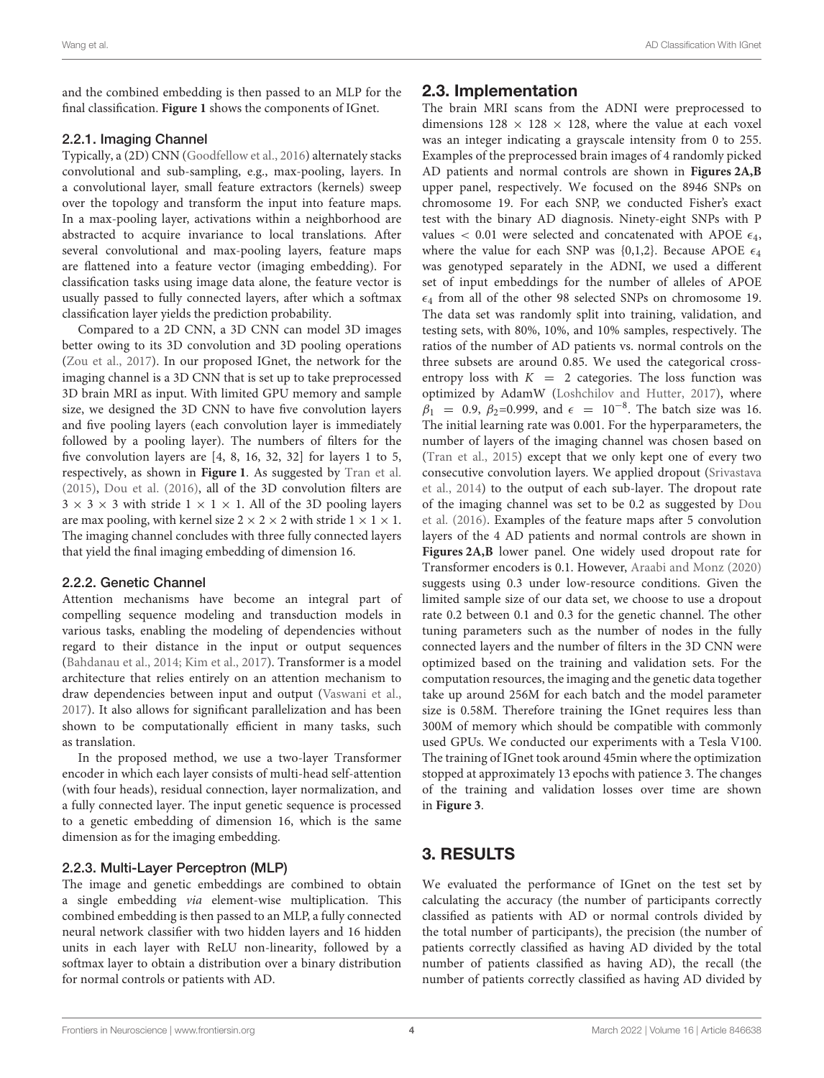and the combined embedding is then passed to an MLP for the final classification. **[Figure 1](#page-2-0)** shows the components of IGnet.

## 2.2.1. Imaging Channel

Typically, a (2D) CNN [\(Goodfellow et al., 2016\)](#page-7-18) alternately stacks convolutional and sub-sampling, e.g., max-pooling, layers. In a convolutional layer, small feature extractors (kernels) sweep over the topology and transform the input into feature maps. In a max-pooling layer, activations within a neighborhood are abstracted to acquire invariance to local translations. After several convolutional and max-pooling layers, feature maps are flattened into a feature vector (imaging embedding). For classification tasks using image data alone, the feature vector is usually passed to fully connected layers, after which a softmax classification layer yields the prediction probability.

Compared to a 2D CNN, a 3D CNN can model 3D images better owing to its 3D convolution and 3D pooling operations [\(Zou et al., 2017\)](#page-7-19). In our proposed IGnet, the network for the imaging channel is a 3D CNN that is set up to take preprocessed 3D brain MRI as input. With limited GPU memory and sample size, we designed the 3D CNN to have five convolution layers and five pooling layers (each convolution layer is immediately followed by a pooling layer). The numbers of filters for the five convolution layers are [4, 8, 16, 32, 32] for layers 1 to 5, respectively, as shown in **[Figure 1](#page-2-0)**. As suggested by [Tran et al.](#page-7-6) [\(2015\)](#page-7-6), [Dou et al. \(2016\)](#page-6-1), all of the 3D convolution filters are  $3 \times 3 \times 3$  with stride  $1 \times 1 \times 1$ . All of the 3D pooling layers are max pooling, with kernel size  $2 \times 2 \times 2$  with stride  $1 \times 1 \times 1$ . The imaging channel concludes with three fully connected layers that yield the final imaging embedding of dimension 16.

### 2.2.2. Genetic Channel

Attention mechanisms have become an integral part of compelling sequence modeling and transduction models in various tasks, enabling the modeling of dependencies without regard to their distance in the input or output sequences [\(Bahdanau et al., 2014;](#page-6-6) [Kim et al., 2017\)](#page-7-20). Transformer is a model architecture that relies entirely on an attention mechanism to draw dependencies between input and output [\(Vaswani et al.,](#page-7-11) [2017\)](#page-7-11). It also allows for significant parallelization and has been shown to be computationally efficient in many tasks, such as translation.

In the proposed method, we use a two-layer Transformer encoder in which each layer consists of multi-head self-attention (with four heads), residual connection, layer normalization, and a fully connected layer. The input genetic sequence is processed to a genetic embedding of dimension 16, which is the same dimension as for the imaging embedding.

## 2.2.3. Multi-Layer Perceptron (MLP)

The image and genetic embeddings are combined to obtain a single embedding via element-wise multiplication. This combined embedding is then passed to an MLP, a fully connected neural network classifier with two hidden layers and 16 hidden units in each layer with ReLU non-linearity, followed by a softmax layer to obtain a distribution over a binary distribution for normal controls or patients with AD.

## 2.3. Implementation

The brain MRI scans from the ADNI were preprocessed to dimensions  $128 \times 128 \times 128$ , where the value at each voxel was an integer indicating a grayscale intensity from 0 to 255. Examples of the preprocessed brain images of 4 randomly picked AD patients and normal controls are shown in **[Figures 2A,B](#page-4-0)** upper panel, respectively. We focused on the 8946 SNPs on chromosome 19. For each SNP, we conducted Fisher's exact test with the binary AD diagnosis. Ninety-eight SNPs with P values < 0.01 were selected and concatenated with APOE  $\epsilon_4$ , where the value for each SNP was  $\{0,1,2\}$ . Because APOE  $\epsilon_4$ was genotyped separately in the ADNI, we used a different set of input embeddings for the number of alleles of APOE  $\epsilon_4$  from all of the other 98 selected SNPs on chromosome 19. The data set was randomly split into training, validation, and testing sets, with 80%, 10%, and 10% samples, respectively. The ratios of the number of AD patients vs. normal controls on the three subsets are around 0.85. We used the categorical crossentropy loss with  $K = 2$  categories. The loss function was optimized by AdamW [\(Loshchilov and Hutter, 2017\)](#page-7-21), where  $\beta_1 = 0.9, \beta_2 = 0.999, \text{ and } \epsilon = 10^{-8}$ . The batch size was 16. The initial learning rate was 0.001. For the hyperparameters, the number of layers of the imaging channel was chosen based on [\(Tran et al., 2015\)](#page-7-6) except that we only kept one of every two consecutive convolution layers. We applied dropout (Srivastava et al., [2014\)](#page-7-22) to the output of each sub-layer. The dropout rate of the imaging channel was set to be 0.2 as suggested by Dou et al. [\(2016\)](#page-6-1). Examples of the feature maps after 5 convolution layers of the 4 AD patients and normal controls are shown in **[Figures 2A,B](#page-4-0)** lower panel. One widely used dropout rate for Transformer encoders is 0.1. However, [Araabi and Monz \(2020\)](#page-6-7) suggests using 0.3 under low-resource conditions. Given the limited sample size of our data set, we choose to use a dropout rate 0.2 between 0.1 and 0.3 for the genetic channel. The other tuning parameters such as the number of nodes in the fully connected layers and the number of filters in the 3D CNN were optimized based on the training and validation sets. For the computation resources, the imaging and the genetic data together take up around 256M for each batch and the model parameter size is 0.58M. Therefore training the IGnet requires less than 300M of memory which should be compatible with commonly used GPUs. We conducted our experiments with a Tesla V100. The training of IGnet took around 45min where the optimization stopped at approximately 13 epochs with patience 3. The changes of the training and validation losses over time are shown in **[Figure 3](#page-4-1)**.

## 3. RESULTS

We evaluated the performance of IGnet on the test set by calculating the accuracy (the number of participants correctly classified as patients with AD or normal controls divided by the total number of participants), the precision (the number of patients correctly classified as having AD divided by the total number of patients classified as having AD), the recall (the number of patients correctly classified as having AD divided by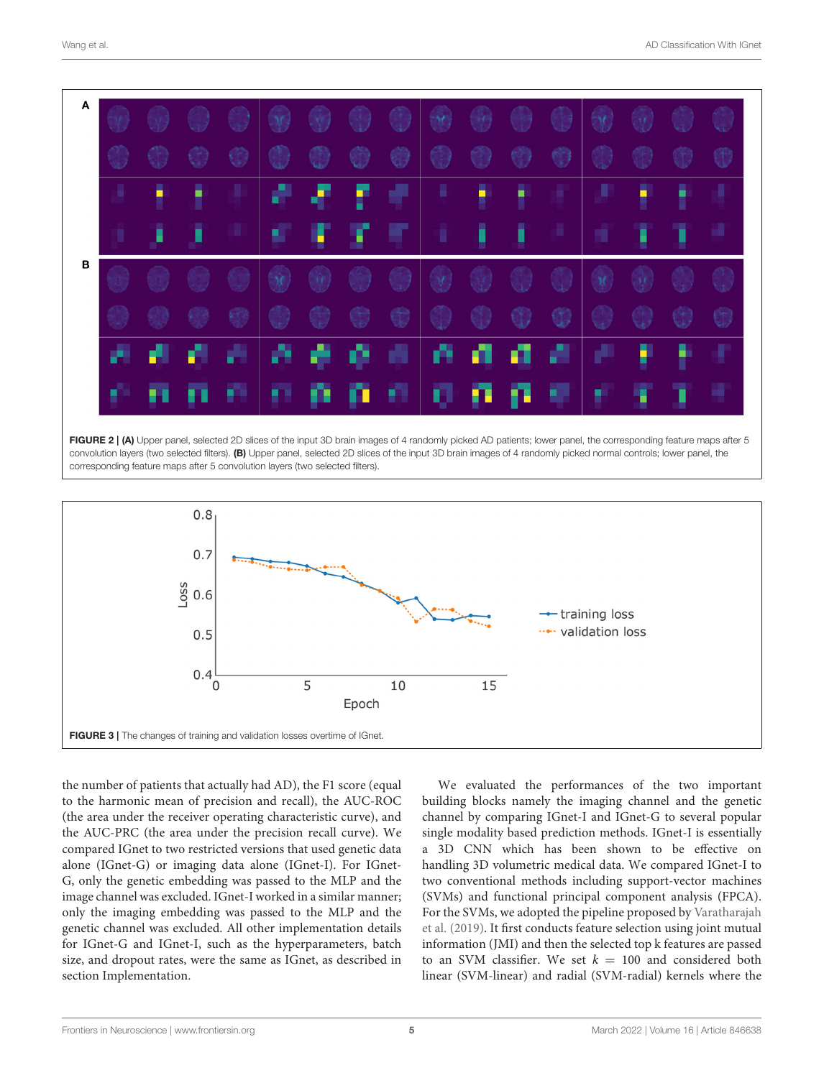

<span id="page-4-0"></span>FIGURE 2 | (A) Upper panel, selected 2D slices of the input 3D brain images of 4 randomly picked AD patients; lower panel, the corresponding feature maps after 5 convolution layers (two selected filters). (B) Upper panel, selected 2D slices of the input 3D brain images of 4 randomly picked normal controls; lower panel, the corresponding feature maps after 5 convolution layers (two selected filters).



<span id="page-4-1"></span>the number of patients that actually had AD), the F1 score (equal to the harmonic mean of precision and recall), the AUC-ROC (the area under the receiver operating characteristic curve), and the AUC-PRC (the area under the precision recall curve). We compared IGnet to two restricted versions that used genetic data alone (IGnet-G) or imaging data alone (IGnet-I). For IGnet-G, only the genetic embedding was passed to the MLP and the image channel was excluded. IGnet-I worked in a similar manner; only the imaging embedding was passed to the MLP and the genetic channel was excluded. All other implementation details for IGnet-G and IGnet-I, such as the hyperparameters, batch size, and dropout rates, were the same as IGnet, as described in section Implementation.

We evaluated the performances of the two important building blocks namely the imaging channel and the genetic channel by comparing IGnet-I and IGnet-G to several popular single modality based prediction methods. IGnet-I is essentially a 3D CNN which has been shown to be effective on handling 3D volumetric medical data. We compared IGnet-I to two conventional methods including support-vector machines (SVMs) and functional principal component analysis (FPCA). For the SVMs, we adopted the pipeline proposed by Varatharajah et al. [\(2019\)](#page-7-23). It first conducts feature selection using joint mutual information (JMI) and then the selected top k features are passed to an SVM classifier. We set  $k = 100$  and considered both linear (SVM-linear) and radial (SVM-radial) kernels where the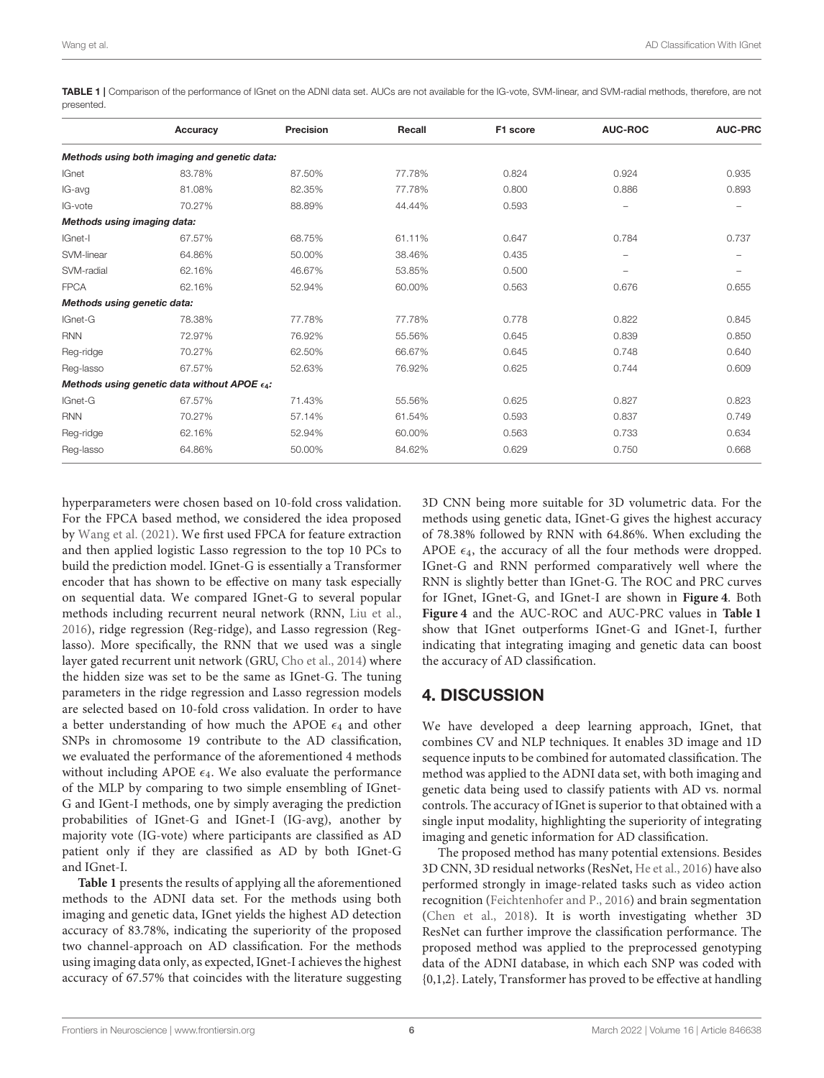<span id="page-5-0"></span>TABLE 1 | Comparison of the performance of IGnet on the ADNI data set. AUCs are not available for the IG-vote, SVM-linear, and SVM-radial methods, therefore, are not presented.

|                             | Accuracy                                               | Precision | Recall | F1 score | <b>AUC-ROC</b>           | <b>AUC-PRC</b> |
|-----------------------------|--------------------------------------------------------|-----------|--------|----------|--------------------------|----------------|
|                             | Methods using both imaging and genetic data:           |           |        |          |                          |                |
| <b>IGnet</b>                | 83.78%                                                 | 87.50%    | 77.78% | 0.824    | 0.924                    | 0.935          |
| IG-avg                      | 81.08%                                                 | 82.35%    | 77.78% | 0.800    | 0.886                    | 0.893          |
| IG-vote                     | 70.27%                                                 | 88.89%    | 44.44% | 0.593    | $\overline{\phantom{0}}$ |                |
| Methods using imaging data: |                                                        |           |        |          |                          |                |
| IGnet-I                     | 67.57%                                                 | 68.75%    | 61.11% | 0.647    | 0.784                    | 0.737          |
| SVM-linear                  | 64.86%                                                 | 50.00%    | 38.46% | 0.435    | -                        |                |
| SVM-radial                  | 62.16%                                                 | 46.67%    | 53.85% | 0.500    | $\overline{\phantom{0}}$ |                |
| <b>FPCA</b>                 | 62.16%                                                 | 52.94%    | 60.00% | 0.563    | 0.676                    | 0.655          |
| Methods using genetic data: |                                                        |           |        |          |                          |                |
| IGnet-G                     | 78.38%                                                 | 77.78%    | 77.78% | 0.778    | 0.822                    | 0.845          |
| <b>RNN</b>                  | 72.97%                                                 | 76.92%    | 55.56% | 0.645    | 0.839                    | 0.850          |
| Reg-ridge                   | 70.27%                                                 | 62.50%    | 66.67% | 0.645    | 0.748                    | 0.640          |
| Reg-lasso                   | 67.57%                                                 | 52.63%    | 76.92% | 0.625    | 0.744                    | 0.609          |
|                             | Methods using genetic data without APOE $\epsilon_4$ : |           |        |          |                          |                |
| IGnet-G                     | 67.57%                                                 | 71.43%    | 55.56% | 0.625    | 0.827                    | 0.823          |
| <b>RNN</b>                  | 70.27%                                                 | 57.14%    | 61.54% | 0.593    | 0.837                    | 0.749          |
| Reg-ridge                   | 62.16%                                                 | 52.94%    | 60.00% | 0.563    | 0.733                    | 0.634          |
| Reg-lasso                   | 64.86%                                                 | 50.00%    | 84.62% | 0.629    | 0.750                    | 0.668          |

hyperparameters were chosen based on 10-fold cross validation. For the FPCA based method, we considered the idea proposed by [Wang et al. \(2021\)](#page-7-24). We first used FPCA for feature extraction and then applied logistic Lasso regression to the top 10 PCs to build the prediction model. IGnet-G is essentially a Transformer encoder that has shown to be effective on many task especially on sequential data. We compared IGnet-G to several popular methods including recurrent neural network (RNN, [Liu et al.,](#page-7-25) [2016\)](#page-7-25), ridge regression (Reg-ridge), and Lasso regression (Reglasso). More specifically, the RNN that we used was a single layer gated recurrent unit network (GRU, [Cho et al., 2014\)](#page-6-8) where the hidden size was set to be the same as IGnet-G. The tuning parameters in the ridge regression and Lasso regression models are selected based on 10-fold cross validation. In order to have a better understanding of how much the APOE  $\epsilon_4$  and other SNPs in chromosome 19 contribute to the AD classification, we evaluated the performance of the aforementioned 4 methods without including APOE  $\epsilon_4$ . We also evaluate the performance of the MLP by comparing to two simple ensembling of IGnet-G and IGent-I methods, one by simply averaging the prediction probabilities of IGnet-G and IGnet-I (IG-avg), another by majority vote (IG-vote) where participants are classified as AD patient only if they are classified as AD by both IGnet-G and IGnet-I.

**[Table 1](#page-5-0)** presents the results of applying all the aforementioned methods to the ADNI data set. For the methods using both imaging and genetic data, IGnet yields the highest AD detection accuracy of 83.78%, indicating the superiority of the proposed two channel-approach on AD classification. For the methods using imaging data only, as expected, IGnet-I achieves the highest accuracy of 67.57% that coincides with the literature suggesting 3D CNN being more suitable for 3D volumetric data. For the methods using genetic data, IGnet-G gives the highest accuracy of 78.38% followed by RNN with 64.86%. When excluding the APOE  $\epsilon_4$ , the accuracy of all the four methods were dropped. IGnet-G and RNN performed comparatively well where the RNN is slightly better than IGnet-G. The ROC and PRC curves for IGnet, IGnet-G, and IGnet-I are shown in **[Figure 4](#page-6-9)**. Both **[Figure 4](#page-6-9)** and the AUC-ROC and AUC-PRC values in **[Table 1](#page-5-0)** show that IGnet outperforms IGnet-G and IGnet-I, further indicating that integrating imaging and genetic data can boost the accuracy of AD classification.

## 4. DISCUSSION

We have developed a deep learning approach, IGnet, that combines CV and NLP techniques. It enables 3D image and 1D sequence inputs to be combined for automated classification. The method was applied to the ADNI data set, with both imaging and genetic data being used to classify patients with AD vs. normal controls. The accuracy of IGnet is superior to that obtained with a single input modality, highlighting the superiority of integrating imaging and genetic information for AD classification.

The proposed method has many potential extensions. Besides 3D CNN, 3D residual networks (ResNet, [He et al., 2016\)](#page-7-26) have also performed strongly in image-related tasks such as video action recognition [\(Feichtenhofer and P., 2016\)](#page-6-10) and brain segmentation [\(Chen et al., 2018\)](#page-6-11). It is worth investigating whether 3D ResNet can further improve the classification performance. The proposed method was applied to the preprocessed genotyping data of the ADNI database, in which each SNP was coded with {0,1,2}. Lately, Transformer has proved to be effective at handling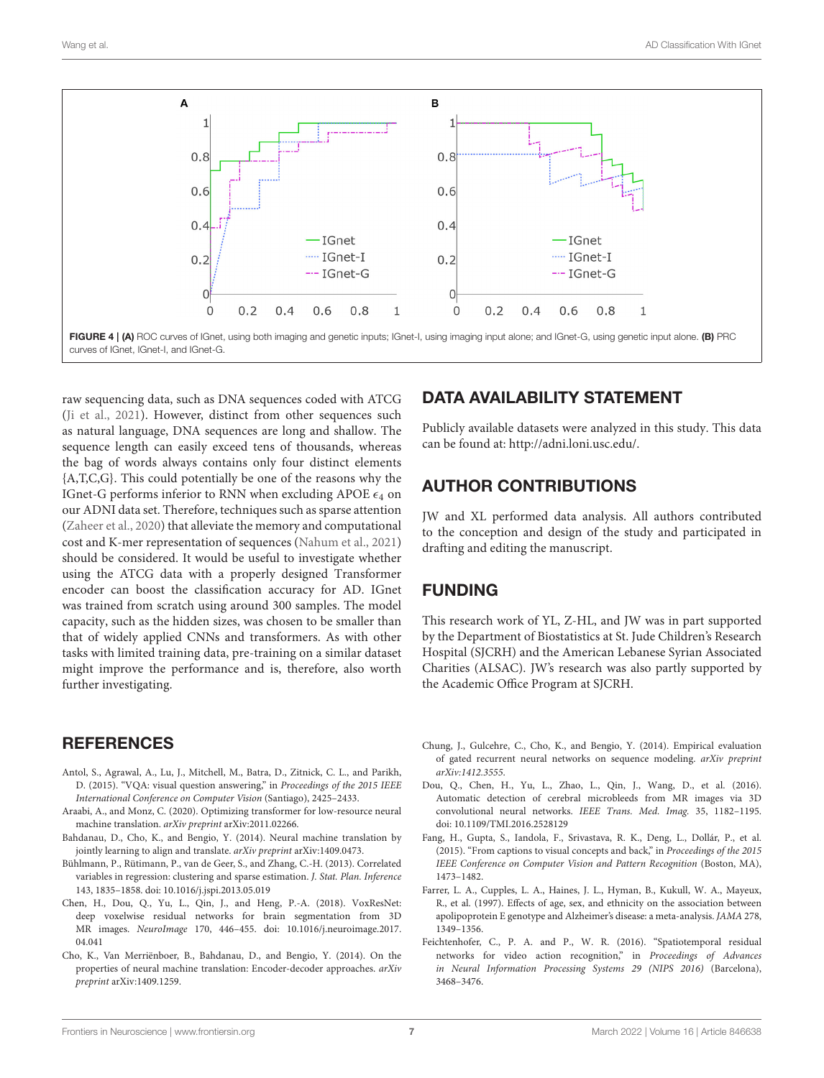

<span id="page-6-9"></span>raw sequencing data, such as DNA sequences coded with ATCG [\(Ji et al., 2021\)](#page-7-15). However, distinct from other sequences such as natural language, DNA sequences are long and shallow. The sequence length can easily exceed tens of thousands, whereas the bag of words always contains only four distinct elements {A,T,C,G}. This could potentially be one of the reasons why the IGnet-G performs inferior to RNN when excluding APOE  $\epsilon_4$  on our ADNI data set. Therefore, techniques such as sparse attention [\(Zaheer et al., 2020\)](#page-7-27) that alleviate the memory and computational cost and K-mer representation of sequences [\(Nahum et al., 2021\)](#page-7-28) should be considered. It would be useful to investigate whether using the ATCG data with a properly designed Transformer encoder can boost the classification accuracy for AD. IGnet was trained from scratch using around 300 samples. The model capacity, such as the hidden sizes, was chosen to be smaller than that of widely applied CNNs and transformers. As with other tasks with limited training data, pre-training on a similar dataset might improve the performance and is, therefore, also worth further investigating.

## **REFERENCES**

- <span id="page-6-4"></span>Antol, S., Agrawal, A., Lu, J., Mitchell, M., Batra, D., Zitnick, C. L., and Parikh, D. (2015). "VQA: visual question answering," in Proceedings of the 2015 IEEE International Conference on Computer Vision (Santiago), 2425–2433.
- <span id="page-6-7"></span>Araabi, A., and Monz, C. (2020). Optimizing transformer for low-resource neural machine translation. arXiv preprint arXiv:2011.02266.
- <span id="page-6-6"></span>Bahdanau, D., Cho, K., and Bengio, Y. (2014). Neural machine translation by jointly learning to align and translate. arXiv preprint arXiv:1409.0473.
- <span id="page-6-5"></span>Bühlmann, P., Rütimann, P., van de Geer, S., and Zhang, C.-H. (2013). Correlated variables in regression: clustering and sparse estimation. J. Stat. Plan. Inference 143, 1835–1858. doi: [10.1016/j.jspi.2013.05.019](https://doi.org/10.1016/j.jspi.2013.05.019)
- <span id="page-6-11"></span>Chen, H., Dou, Q., Yu, L., Qin, J., and Heng, P.-A. (2018). VoxResNet: deep voxelwise residual networks for brain segmentation from 3D MR images. NeuroImage [170, 446–455. doi: 10.1016/j.neuroimage.2017.](https://doi.org/10.1016/j.neuroimage.2017.04.041) 04.041
- <span id="page-6-8"></span>Cho, K., Van Merriënboer, B., Bahdanau, D., and Bengio, Y. (2014). On the properties of neural machine translation: Encoder-decoder approaches. arXiv preprint arXiv:1409.1259.

## DATA AVAILABILITY STATEMENT

Publicly available datasets were analyzed in this study. This data can be found at: [http://adni.loni.usc.edu/.](http://adni.loni.usc.edu/)

## AUTHOR CONTRIBUTIONS

JW and XL performed data analysis. All authors contributed to the conception and design of the study and participated in drafting and editing the manuscript.

## FUNDING

This research work of YL, Z-HL, and JW was in part supported by the Department of Biostatistics at St. Jude Children's Research Hospital (SJCRH) and the American Lebanese Syrian Associated Charities (ALSAC). JW's research was also partly supported by the Academic Office Program at SJCRH.

- <span id="page-6-2"></span>Chung, J., Gulcehre, C., Cho, K., and Bengio, Y. (2014). Empirical evaluation of gated recurrent neural networks on sequence modeling. arXiv preprint arXiv:1412.3555.
- <span id="page-6-1"></span>Dou, Q., Chen, H., Yu, L., Zhao, L., Qin, J., Wang, D., et al. (2016). Automatic detection of cerebral microbleeds from MR images via 3D convolutional neural networks. IEEE Trans. Med. Imag. 35, 1182–1195. doi: [10.1109/TMI.2016.2528129](https://doi.org/10.1109/TMI.2016.2528129)
- <span id="page-6-3"></span>Fang, H., Gupta, S., Iandola, F., Srivastava, R. K., Deng, L., Dollár, P., et al. (2015). "From captions to visual concepts and back," in Proceedings of the 2015 IEEE Conference on Computer Vision and Pattern Recognition (Boston, MA), 1473–1482.
- <span id="page-6-0"></span>Farrer, L. A., Cupples, L. A., Haines, J. L., Hyman, B., Kukull, W. A., Mayeux, R., et al. (1997). Effects of age, sex, and ethnicity on the association between apolipoprotein E genotype and Alzheimer's disease: a meta-analysis. JAMA 278, 1349–1356.
- <span id="page-6-10"></span>Feichtenhofer, C., P. A. and P., W. R. (2016). "Spatiotemporal residual networks for video action recognition," in Proceedings of Advances in Neural Information Processing Systems 29 (NIPS 2016) (Barcelona), 3468–3476.